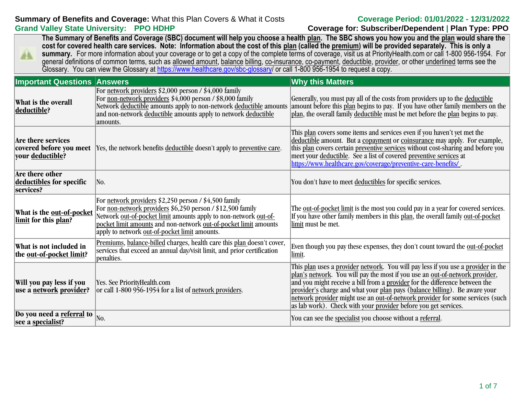# **Summary of Benefits and Coverage:** What this Plan Covers & What it Costs **Coverage Period: 01/01/2022 - 12/31/2022 Grand Valley State University: PPO HDHP Coverage for: Subscriber/Dependent | Plan Type: PPO**

**The Summary of Benefits and Coverage (SBC) document will help you choose a health plan. The SBC shows you how you and the plan would share the cost for covered health care services. Note: Information about the cost of this plan (called the premium) will be provided separately. This is only a**  summary. For more information about your coverage or to get a copy of the complete terms of coverage, visit us at PriorityHealth.com or call 1-800 956-1954. For AA. general definitions of common terms, such as allowed amount, balance billing, co-insurance, co-payment, deductible, provider, or other underlined terms see the Glossary. You can view the Glossary at [https://www.healthcare.gov/sbc-glossary/](https://www.healthcare.gov/sbc-glossary) or call 1-800 956-1954 to request a copy.

| <b>Important Questions Answers</b>                                |                                                                                                                                                                                                                                                                                                                | <b>Why this Matters</b>                                                                                                                                                                                                                                                                                                                                                                                                                                                            |
|-------------------------------------------------------------------|----------------------------------------------------------------------------------------------------------------------------------------------------------------------------------------------------------------------------------------------------------------------------------------------------------------|------------------------------------------------------------------------------------------------------------------------------------------------------------------------------------------------------------------------------------------------------------------------------------------------------------------------------------------------------------------------------------------------------------------------------------------------------------------------------------|
| What is the overall<br>deductible?                                | For network providers $$2,000$ person / $$4,000$ family<br>For <u>non-network providers</u> \$4,000 person / \$8,000 family<br>Network deductible amounts apply to non-network deductible amounts<br>and non-network deductible amounts apply to network deductible<br>amounts.                                | Generally, you must pay all of the costs from providers up to the deductible<br>amount before this plan begins to pay. If you have other family members on the<br>plan, the overall family deductible must be met before the plan begins to pay.                                                                                                                                                                                                                                   |
| Are there services<br>covered before you meet<br>your deductible? | Yes, the network benefits deductible doesn't apply to preventive care.                                                                                                                                                                                                                                         | This plan covers some items and services even if you haven't yet met the<br>deductible amount. But a copayment or coinsurance may apply. For example,<br>this plan covers certain preventive services without cost-sharing and before you<br>meet your deductible. See a list of covered preventive services at<br>https://www.healthcare.gov/coverage/preventive-care-benefits/.                                                                                                  |
| Are there other<br>deductibles for specific<br>services?          | No.                                                                                                                                                                                                                                                                                                            | You don't have to meet deductibles for specific services.                                                                                                                                                                                                                                                                                                                                                                                                                          |
| What is the out-of-pocket<br>limit for this plan?                 | For network providers $$2,250$ person / $$4,500$ family<br>For non-network providers \$6,250 person / \$12,500 family<br>Network out-of-pocket limit amounts apply to non-network out-of-<br>pocket limit amounts and non-network out-of-pocket limit amounts<br>apply to network out-of-pocket limit amounts. | The <u>out-of-pocket limit</u> is the most you could pay in a year for covered services.<br>If you have other family members in this plan, the overall family out-of-pocket<br>limit must be met.                                                                                                                                                                                                                                                                                  |
| What is not included in<br>the <u>out-of-pocket limit</u> ?       | Premiums, balance-billed charges, health care this plan doesn't cover,<br>services that exceed an annual day/visit limit, and prior certification<br>penalties.                                                                                                                                                | Even though you pay these expenses, they don't count toward the out-of-pocket<br>limit.                                                                                                                                                                                                                                                                                                                                                                                            |
| Will you pay less if you<br>use a <u>network</u> provider?        | Yes. See PriorityHealth.com<br>or call 1-800 956-1954 for a list of network providers.                                                                                                                                                                                                                         | This plan uses a provider network. You will pay less if you use a provider in the<br>plan's network. You will pay the most if you use an out-of-network provider,<br>and you might receive a bill from a provider for the difference between the<br>provider's charge and what your plan pays (balance billing). Be aware your<br>network provider might use an out-of-network provider for some services (such<br>as lab work). Check with your provider before you get services. |
| Do you need a referral to<br>see a specialist?                    | No.                                                                                                                                                                                                                                                                                                            | You can see the specialist you choose without a referral.                                                                                                                                                                                                                                                                                                                                                                                                                          |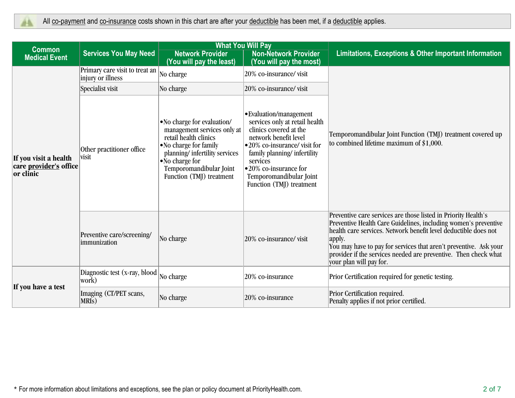|                                                                     |                                                     |                                                                                                                                                                                                                          | <b>What You Will Pay</b>                                                                                                                                                                                                                                               |                                                                                                                                                                                                                                                                                                                                                                                   |  |
|---------------------------------------------------------------------|-----------------------------------------------------|--------------------------------------------------------------------------------------------------------------------------------------------------------------------------------------------------------------------------|------------------------------------------------------------------------------------------------------------------------------------------------------------------------------------------------------------------------------------------------------------------------|-----------------------------------------------------------------------------------------------------------------------------------------------------------------------------------------------------------------------------------------------------------------------------------------------------------------------------------------------------------------------------------|--|
| <b>Common</b><br><b>Medical Event</b>                               | <b>Services You May Need</b>                        | <b>Network Provider</b><br>(You will pay the least)                                                                                                                                                                      | <b>Non-Network Provider</b><br>(You will pay the most)                                                                                                                                                                                                                 | <b>Limitations, Exceptions &amp; Other Important Information</b>                                                                                                                                                                                                                                                                                                                  |  |
| If you visit a health<br>care <u>provider's</u> office<br>or clinic | Primary care visit to treat an<br>injury or illness | No charge                                                                                                                                                                                                                | 20% co-insurance/visit                                                                                                                                                                                                                                                 |                                                                                                                                                                                                                                                                                                                                                                                   |  |
|                                                                     | Specialist visit                                    | No charge                                                                                                                                                                                                                | 20% co-insurance/visit                                                                                                                                                                                                                                                 |                                                                                                                                                                                                                                                                                                                                                                                   |  |
|                                                                     | Other practitioner office<br>visit                  | • No charge for evaluation/<br>management services only at<br>retail health clinics<br>• No charge for family<br>planning/infertility services<br>• No charge for<br>Temporomandibular Joint<br>Function (TMJ) treatment | • Evaluation/management<br>services only at retail health<br>clinics covered at the<br>network benefit level<br>•20% co-insurance/visit for<br>family planning/infertility<br>services<br>•20% co-insurance for<br>Temporomandibular Joint<br>Function (TMJ) treatment | Temporomandibular Joint Function (TMJ) treatment covered up<br>to combined lifetime maximum of $$1,000$ .                                                                                                                                                                                                                                                                         |  |
|                                                                     | Preventive care/screening/<br>immunization          | No charge                                                                                                                                                                                                                | 20% co-insurance/visit                                                                                                                                                                                                                                                 | Preventive care services are those listed in Priority Health's<br>Preventive Health Care Guidelines, including women's preventive<br>health care services. Network benefit level deductible does not<br>apply.<br>You may have to pay for services that aren't preventive. Ask your<br>provider if the services needed are preventive. Then check what<br>your plan will pay for. |  |
|                                                                     | Diagnostic test (x-ray, blood<br>work)              | No charge                                                                                                                                                                                                                | 20% co-insurance                                                                                                                                                                                                                                                       | Prior Certification required for genetic testing.                                                                                                                                                                                                                                                                                                                                 |  |
| If you have a test                                                  | Imaging (CT/PET scans,<br>MRI <sub>s</sub> )        | No charge                                                                                                                                                                                                                | 20% co-insurance                                                                                                                                                                                                                                                       | Prior Certification required.<br>Penalty applies if not prior certified.                                                                                                                                                                                                                                                                                                          |  |
|                                                                     |                                                     |                                                                                                                                                                                                                          |                                                                                                                                                                                                                                                                        |                                                                                                                                                                                                                                                                                                                                                                                   |  |

\* For more information about limitations and exceptions, see the plan or policy document at PriorityHealth.com. 2 of 7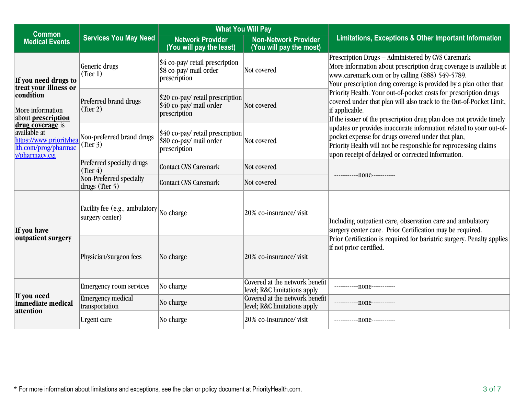| <b>Common</b>                                                                                                                                                                                                               |                                                             | <b>What You Will Pay</b>                                                                        |                                                                |                                                                                                                                                                                                                                                 |  |
|-----------------------------------------------------------------------------------------------------------------------------------------------------------------------------------------------------------------------------|-------------------------------------------------------------|-------------------------------------------------------------------------------------------------|----------------------------------------------------------------|-------------------------------------------------------------------------------------------------------------------------------------------------------------------------------------------------------------------------------------------------|--|
| <b>Medical Events</b>                                                                                                                                                                                                       | <b>Services You May Need</b>                                | <b>Network Provider</b><br>(You will pay the least)                                             | <b>Non-Network Provider</b><br>(You will pay the most)         | Limitations, Exceptions & Other Important Information                                                                                                                                                                                           |  |
| If you need drugs to<br>treat your illness or<br>condition<br>More information<br>about <b>prescription</b><br>drug coverage is<br><i>available at</i><br>https://www.priorityhea<br>lth.com/prog/pharmac<br>v/pharmacy.cgi | Generic drugs<br>(Tier 1)                                   | \$4 co-pay/ retail prescription<br>\$8 co-pay/ mail order<br>prescription                       | Not covered                                                    | Prescription Drugs - Administered by CVS Caremark<br>More information about prescription drug coverage is available at<br>www.caremark.com or by calling (888) 549-5789.<br>Your prescription drug coverage is provided by a plan other than    |  |
|                                                                                                                                                                                                                             | Preferred brand drugs<br>(Tier 2)                           | $ 20 \text{ co-pay/}$ retail prescription<br>$\frac{1}{2}40$ co-pay/ mail order<br>prescription | Not covered                                                    | Priority Health. Your out-of-pocket costs for prescription drugs<br>covered under that plan will also track to the Out-of-Pocket Limit,<br>if applicable.<br>If the issuer of the prescription drug plan does not provide timely                |  |
|                                                                                                                                                                                                                             | Non-preferred brand drugs<br>(Tier 3)                       | $$40$ co-pay/ retail prescription<br>\$80 co-pay/ mail order<br>prescription                    | Not covered                                                    | updates or provides inaccurate information related to your out-of-<br>pocket expense for drugs covered under that plan,<br>Priority Health will not be responsible for reprocessing claims<br>upon receipt of delayed or corrected information. |  |
|                                                                                                                                                                                                                             | Preferred specialty drugs<br>(Tier 4)                       | Contact CVS Caremark                                                                            | Not covered                                                    |                                                                                                                                                                                                                                                 |  |
|                                                                                                                                                                                                                             | Non-Preferred specialty<br>drugs (Tier 5)                   | <b>Contact CVS Caremark</b>                                                                     | Not covered                                                    | ------------- none-----------                                                                                                                                                                                                                   |  |
| If you have<br>outpatient surgery                                                                                                                                                                                           | Facility fee (e.g., ambulatory No charge<br>surgery center) |                                                                                                 | 20% co-insurance/visit                                         | Including outpatient care, observation care and ambulatory<br>surgery center care. Prior Certification may be required.                                                                                                                         |  |
|                                                                                                                                                                                                                             | Physician/surgeon fees                                      | No charge                                                                                       | 20% co-insurance/visit                                         | Prior Certification is required for bariatric surgery. Penalty applies<br>if not prior certified.                                                                                                                                               |  |
| If you need<br>immediate medical<br>attention                                                                                                                                                                               | <b>Emergency room services</b>                              | No charge                                                                                       | Covered at the network benefit<br>level; R&C limitations apply | ------------none----------                                                                                                                                                                                                                      |  |
|                                                                                                                                                                                                                             | <b>Emergency medical</b><br>transportation                  | No charge                                                                                       | Covered at the network benefit<br>level; R&C limitations apply |                                                                                                                                                                                                                                                 |  |
|                                                                                                                                                                                                                             | Urgent care                                                 | No charge                                                                                       | 20% co-insurance/visit                                         |                                                                                                                                                                                                                                                 |  |

\* For more information about limitations and exceptions, see the plan or policy document at PriorityHealth.com. 3 of 7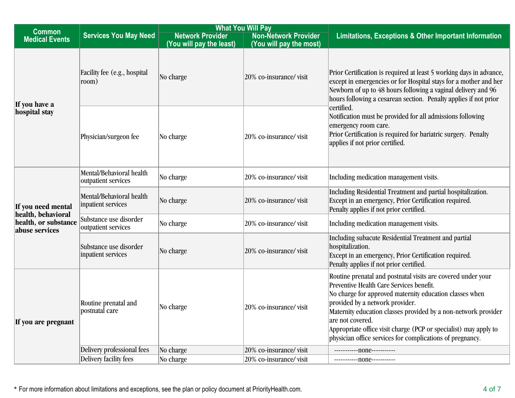| <b>What You Will Pay</b>                                                           |                                                 |                                                     |                                                        |                                                                                                                                                                                                                                                                                                                                                                                                                               |
|------------------------------------------------------------------------------------|-------------------------------------------------|-----------------------------------------------------|--------------------------------------------------------|-------------------------------------------------------------------------------------------------------------------------------------------------------------------------------------------------------------------------------------------------------------------------------------------------------------------------------------------------------------------------------------------------------------------------------|
| <b>Common</b><br><b>Medical Events</b>                                             | <b>Services You May Need</b>                    | <b>Network Provider</b><br>(You will pay the least) | <b>Non-Network Provider</b><br>(You will pay the most) | <b>Limitations, Exceptions &amp; Other Important Information</b>                                                                                                                                                                                                                                                                                                                                                              |
| If you have a<br>hospital stay                                                     | Facility fee (e.g., hospital<br>room)           | No charge                                           | 20% co-insurance/visit                                 | Prior Certification is required at least 5 working days in advance,<br>except in emergencies or for Hospital stays for a mother and her<br>Newborn of up to 48 hours following a vaginal delivery and 96<br>hours following a cesarean section. Penalty applies if not prior                                                                                                                                                  |
|                                                                                    | Physician/surgeon fee                           | No charge                                           | 20% co-insurance/visit                                 | certified.<br>Notification must be provided for all admissions following<br>emergency room care.<br>Prior Certification is required for bariatric surgery. Penalty<br>applies if not prior certified.                                                                                                                                                                                                                         |
|                                                                                    | Mental/Behavioral health<br>outpatient services | No charge                                           | 20% co-insurance/visit                                 | Including medication management visits.                                                                                                                                                                                                                                                                                                                                                                                       |
| If you need mental<br>health, behavioral<br>health, or substance<br>abuse services | Mental/Behavioral health<br>inpatient services  | No charge                                           | 20% co-insurance/visit                                 | Including Residential Treatment and partial hospitalization.<br>Except in an emergency, Prior Certification required.<br>Penalty applies if not prior certified.                                                                                                                                                                                                                                                              |
|                                                                                    | Substance use disorder<br>outpatient services   | No charge                                           | 20% co-insurance/visit                                 | Including medication management visits.                                                                                                                                                                                                                                                                                                                                                                                       |
|                                                                                    | Substance use disorder<br>inpatient services    | No charge                                           | 20% co-insurance/visit                                 | Including subacute Residential Treatment and partial<br>hospitalization.<br>Except in an emergency, Prior Certification required.<br>Penalty applies if not prior certified.                                                                                                                                                                                                                                                  |
| If you are pregnant                                                                | Routine prenatal and<br>postnatal care          | No charge                                           | 20% co-insurance/visit                                 | Routine prenatal and postnatal visits are covered under your<br>Preventive Health Care Services benefit.<br>No charge for approved maternity education classes when<br>provided by a network provider.<br>Maternity education classes provided by a non-network provider<br>are not covered.<br>Appropriate office visit charge (PCP or specialist) may apply to<br>physician office services for complications of pregnancy. |
|                                                                                    | Delivery professional fees                      | No charge                                           | 20% co-insurance/visit                                 | ------------none-----------                                                                                                                                                                                                                                                                                                                                                                                                   |
|                                                                                    | Delivery facility fees                          | No charge                                           | 20% co-insurance/visit                                 | ------------ none-----------                                                                                                                                                                                                                                                                                                                                                                                                  |

\* For more information about limitations and exceptions, see the plan or policy document at PriorityHealth.com. 4 of 7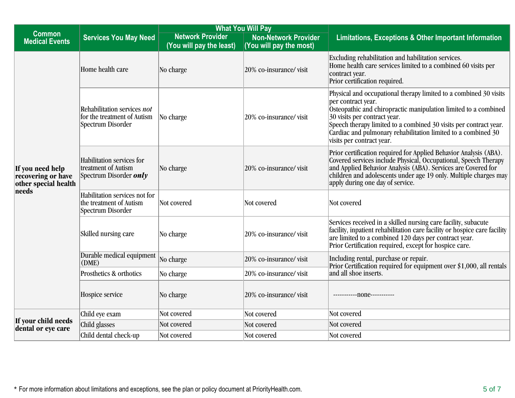| <b>What You Will Pay</b>                                                |                                                                                   |                                                     |                                                        |                                                                                                                                                                                                                                                                                                                                                               |
|-------------------------------------------------------------------------|-----------------------------------------------------------------------------------|-----------------------------------------------------|--------------------------------------------------------|---------------------------------------------------------------------------------------------------------------------------------------------------------------------------------------------------------------------------------------------------------------------------------------------------------------------------------------------------------------|
| <b>Common</b><br><b>Medical Events</b>                                  | <b>Services You May Need</b>                                                      | <b>Network Provider</b><br>(You will pay the least) | <b>Non-Network Provider</b><br>(You will pay the most) | Limitations, Exceptions & Other Important Information                                                                                                                                                                                                                                                                                                         |
| If you need help<br>recovering or have<br>other special health<br>needs | Home health care                                                                  | No charge                                           | 20% co-insurance/visit                                 | Excluding rehabilitation and habilitation services.<br>Home health care services limited to a combined 60 visits per<br>contract year.<br>Prior certification required.                                                                                                                                                                                       |
|                                                                         | Rehabilitation services not<br>for the treatment of Autism<br>Spectrum Disorder   | No charge                                           | 20% co-insurance/visit                                 | Physical and occupational therapy limited to a combined 30 visits<br>per contract year.<br>Osteopathic and chiropractic manipulation limited to a combined<br>30 visits per contract year.<br>Speech therapy limited to a combined 30 visits per contract year.<br>Cardiac and pulmonary rehabilitation limited to a combined 30<br>visits per contract year. |
|                                                                         | Habilitation services for<br>treatment of Autism<br>Spectrum Disorder <i>only</i> | No charge                                           | 20% co-insurance/visit                                 | Prior certification required for Applied Behavior Analysis (ABA).<br>Covered services include Physical, Occupational, Speech Therapy<br>and Applied Behavior Analysis (ABA). Services are Covered for<br>children and adolescents under age 19 only. Multiple charges may<br>apply during one day of service.                                                 |
|                                                                         | Habilitation services not for<br>the treatment of Autism<br>Spectrum Disorder     | Not covered                                         | Not covered                                            | Not covered                                                                                                                                                                                                                                                                                                                                                   |
|                                                                         | Skilled nursing care                                                              | No charge                                           | 20% co-insurance/visit                                 | Services received in a skilled nursing care facility, subacute<br>facility, inpatient rehabilitation care facility or hospice care facility<br>are limited to a combined 120 days per contract year.<br>Prior Certification required, except for hospice care.                                                                                                |
|                                                                         | Durable medical equipment<br>(DME)                                                | No charge                                           | 20% co-insurance/visit                                 | Including rental, purchase or repair.<br>Prior Certification required for equipment over \$1,000, all rentals                                                                                                                                                                                                                                                 |
|                                                                         | Prosthetics & orthotics                                                           | No charge                                           | 20% co-insurance/visit                                 | and all shoe inserts.                                                                                                                                                                                                                                                                                                                                         |
|                                                                         | Hospice service                                                                   | No charge                                           | 20% co-insurance/visit                                 | ------------ none-----------                                                                                                                                                                                                                                                                                                                                  |
|                                                                         | Child eye exam                                                                    | Not covered                                         | Not covered                                            | Not covered                                                                                                                                                                                                                                                                                                                                                   |
| If your child needs<br>dental or eye care                               | Child glasses                                                                     | Not covered                                         | Not covered                                            | Not covered                                                                                                                                                                                                                                                                                                                                                   |
|                                                                         | Child dental check-up                                                             | Not covered                                         | Not covered                                            | Not covered                                                                                                                                                                                                                                                                                                                                                   |

\* For more information about limitations and exceptions, see the plan or policy document at PriorityHealth.com. 5 of 7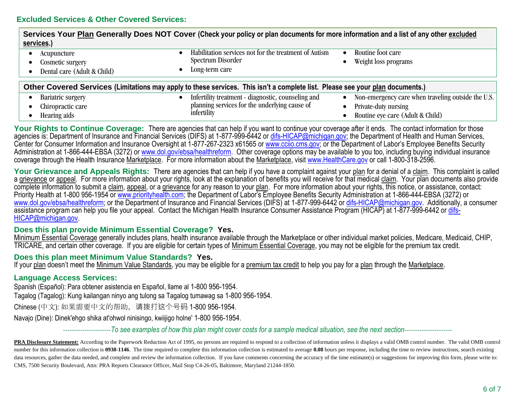| Services Your Plan Generally Does NOT Cover (Check your policy or plan documents for more information and a list of any other excluded<br>services.) |                                                                                              |                                                                 |
|------------------------------------------------------------------------------------------------------------------------------------------------------|----------------------------------------------------------------------------------------------|-----------------------------------------------------------------|
| Acupuncture<br>Cosmetic surgery<br>Dental care (Adult & Child)                                                                                       | Habilitation services not for the treatment of Autism<br>Spectrum Disorder<br>Long-term care | Routine foot care<br>Weight loss programs                       |
| Other Covered Services (Limitations may apply to these services. This isn't a complete list. Please see your plan documents.)                        |                                                                                              |                                                                 |
| Bariatric surgery                                                                                                                                    | Infertility treatment - diagnostic, counseling and                                           | Non-emergency care when traveling outside the U.S.<br>$\bullet$ |
| Chiropractic care                                                                                                                                    | planning services for the underlying cause of                                                | Private-duty nursing                                            |
| Hearing aids                                                                                                                                         | infertility                                                                                  | Routine eye care (Adult & Child)                                |

Your Rights to Continue Coverage: There are agencies that can help if you want to continue your coverage after it ends. The contact information for those agencies is: Department of Insurance and Financial Services (DIFS) at 1-877-999-6442 or [difs-HICAP@michigan.gov;](mailto:difs-HICAP@michigan.gov) the Department of Health and Human Services, Center for Consumer Information and Insurance Oversight at 1-877-267-2323 x61565 or [www.cciio.cms.gov;](http://www.cciio.cms.gov/) or the Department of Labor's Employee Benefits Security Administration at 1-866-444-EBSA (3272) or [www.dol.gov/ebsa/healthreform.](http://www.dol.gov/ebsa/healthreform) Other coverage options may be available to you too, including buying individual insurance coverage through the Health Insurance Marketplace. For more information about the Marketplace, visit [www.HealthCare.gov](http://www.healthcare.gov/) or call 1-800-318-2596.

Your Grievance and Appeals Rights: There are agencies that can help if you have a complaint against your plan for a denial of a claim. This complaint is called a grievance or appeal. For more information about your rights, look at the explanation of benefits you will receive for that medical claim. Your plan documents also provide complete information to submit a claim, appeal, or a grievance for any reason to your plan. For more information about your rights, this notice, or assistance, contact: Priority Health at 1-800 956-1954 or [www.priorityhealth.com](http://www.priorityhealth.com/); the Department of Labor's Employee Benefits Security Administration at 1-866-444-EBSA (3272) or [www.dol.gov/ebsa/healthreform;](http://www.dol.gov/ebsa/healthreform) or the Department of Insurance and Financial Services (DIFS) at 1-877-999-6442 or [difs-HICAP@michigan.gov.](mailto:difs-HICAP@michigan.gov) Additionally, a consumer assistance program can help you file your appeal. Contact the Michigan Health Insurance Consumer Assistance Program (HICAP) at 1-877-999-6442 or [difs-](mailto:difs-HICAP@michigan.gov)[HICAP@michigan.gov.](mailto:difs-HICAP@michigan.gov)

# **Does this plan provide Minimum Essential Coverage? Yes.**

Minimum Essential Coverage generally includes plans, health insurance available through the Marketplace or other individual market policies, Medicare, Medicaid, CHIP, TRICARE, and certain other coverage. If you are eligible for certain types of Minimum Essential Coverage, you may not be eligible for the premium tax credit.

# **Does this plan meet Minimum Value Standards? Yes.**

If your plan doesn't meet the Minimum Value Standards, you may be eligible for a premium tax credit to help you pay for a plan through the Marketplace.

# **Language Access Services:**

Spanish (Español): Para obtener asistencia en Español, llame al 1-800 956-1954.

Tagalog (Tagalog): Kung kailangan ninyo ang tulong sa Tagalog tumawag sa 1-800 956-1954.

Chinese (中文): 如果需要中文的帮助,请拨打这个号码 1-800 956-1954.

Navajo (Dine): Dinek'ehgo shika at'ohwol ninisingo, kwiijigo holne' 1-800 956-1954.

----------------------*To see examples of how this plan might cover costs for a sample medical situation, see the next section*----------------------

PRA Disclosure Statement: According to the Paperwork Reduction Act of 1995, no persons are required to respond to a collection of information unless it displays a valid OMB control number. The valid OMB control number for this information collection is 0938-1146. The time required to complete this information collection is estimated to average 0.08 hours per response, including the time to review instructions, search existing data resources, gather the data needed, and complete and review the information collection. If you have comments concerning the accuracy of the time estimate(s) or suggestions for improving this form, please write to: CMS, 7500 Security Boulevard, Attn: PRA Reports Clearance Officer, Mail Stop C4-26-05, Baltimore, Maryland 21244-1850.